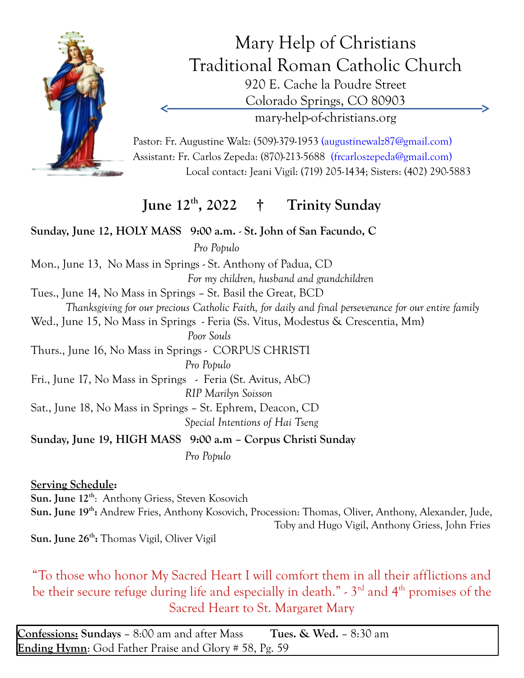

Mary Help of Christians Traditional Roman Catholic Church 920 E. Cache la Poudre Street Colorado Springs, CO 80903 mary-help-of-christians.org

Pastor: Fr. Augustine Walz: (509)-379-1953 (augustinewalz87@gmail.com) Assistant: Fr. Carlos Zepeda: (870)-213-5688 (frcarloszepeda@gmail.com) Local contact: Jeani Vigil: (719) 205-1434; Sisters: (402) 290-5883

## **June 12th , 2022 † Trinity Sunday**

**Sunday, June 12, HOLY MASS 9:00 a.m.** - **St. John of San Facundo, C**  *Pro Populo* Mon., June 13, No Mass in Springs - St. Anthony of Padua, CD *For my children, husband and grandchildren* Tues., June 14, No Mass in Springs – St. Basil the Great, BCD *Thanksgiving for our precious Catholic Faith, for daily and final perseverance for our entire family* Wed., June 15, No Mass in Springs - Feria (Ss. Vitus, Modestus & Crescentia, Mm)  *Poor Souls* Thurs., June 16, No Mass in Springs - CORPUS CHRISTI *Pro Populo* Fri., June 17, No Mass in Springs - Feria (St. Avitus, AbC) *RIP Marilyn Soisson* Sat., June 18, No Mass in Springs – St. Ephrem, Deacon, CD *Special Intentions of Hai Tseng* **Sunday, June 19, HIGH MASS 9:00 a.m – Corpus Christi Sunday** *Pro Populo*

**Serving Schedule:**

**Sun. June 12th**: Anthony Griess, Steven Kosovich **Sun. June 19th :** Andrew Fries, Anthony Kosovich, Procession: Thomas, Oliver, Anthony, Alexander, Jude, Toby and Hugo Vigil, Anthony Griess, John Fries **Sun. June 26th :** Thomas Vigil, Oliver Vigil

"To those who honor My Sacred Heart I will comfort them in all their afflictions and be their secure refuge during life and especially in death." - 3<sup>rd</sup> and 4<sup>th</sup> promises of the Sacred Heart to St. Margaret Mary

**Confessions: Sundays** – 8:00 am and after Mass **Tues. & Wed.** – 8:30 am **Ending Hymn**: God Father Praise and Glory # 58, Pg. 59